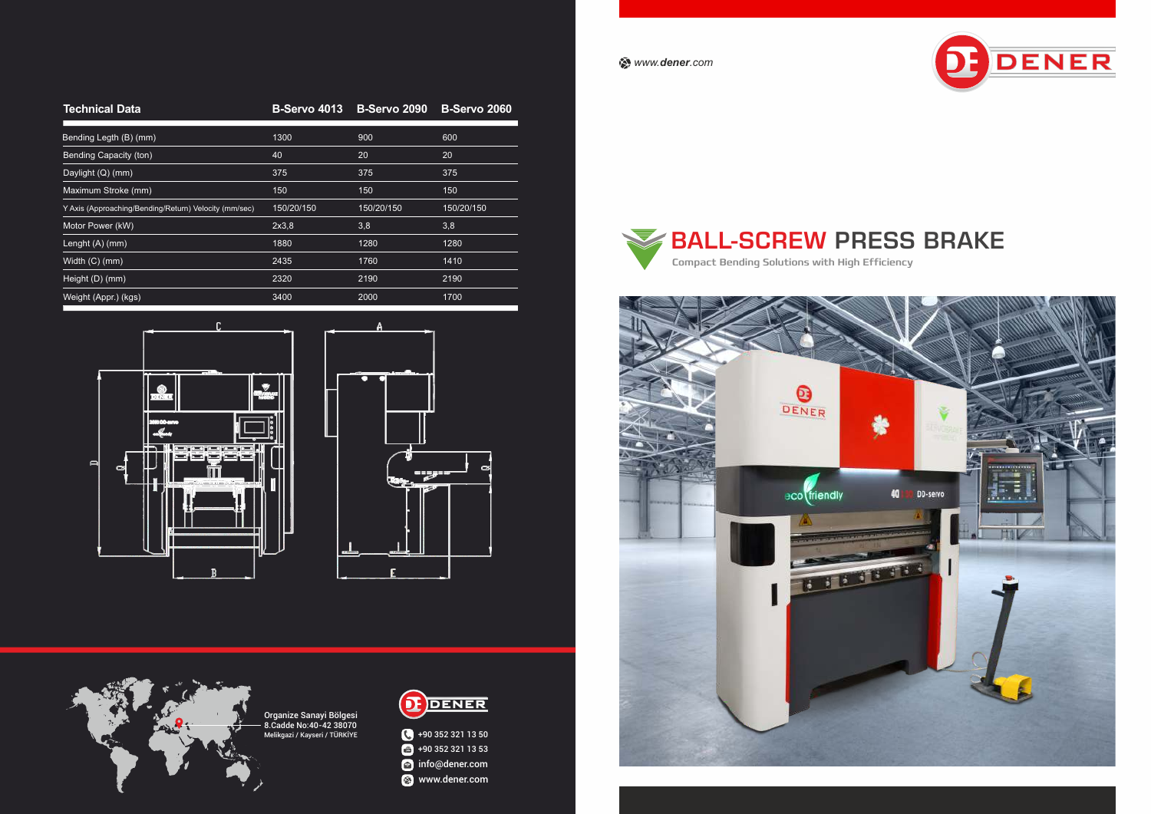*www.dener.com*

## **Technical Data**

| Bending Legth (B) (mm)                                | 1300       | 900        | 600        |
|-------------------------------------------------------|------------|------------|------------|
| <b>Bending Capacity (ton)</b>                         | 40         | 20         | 20         |
| Daylight (Q) (mm)                                     | 375        | 375        | 375        |
| Maximum Stroke (mm)                                   | 150        | 150        | 150        |
| Y Axis (Approaching/Bending/Return) Velocity (mm/sec) | 150/20/150 | 150/20/150 | 150/20/150 |
| Motor Power (kW)                                      | 2x3,8      | 3,8        | 3,8        |
| Lenght (A) (mm)                                       | 1880       | 1280       | 1280       |
| Width (C) (mm)                                        | 2435       | 1760       | 1410       |
| Height (D) (mm)                                       | 2320       | 2190       | 2190       |
| Weight (Appr.) (kgs)                                  | 3400       | 2000       | 1700       |







BALL-SCREW PRESS BRAKE Compact Bending Solutions with High Efficiency







### **B-Servo 4013 B-Servo 2090 B-Servo 2060**

Organize Sanayi Bölgesi 8.Cadde No:40-42 38070 Melikgazi / Kayseri / TÜRKİYE



+90 352 321 13 50  $+90$  352 321 13 53 info@dener.com **&** www.dener.com